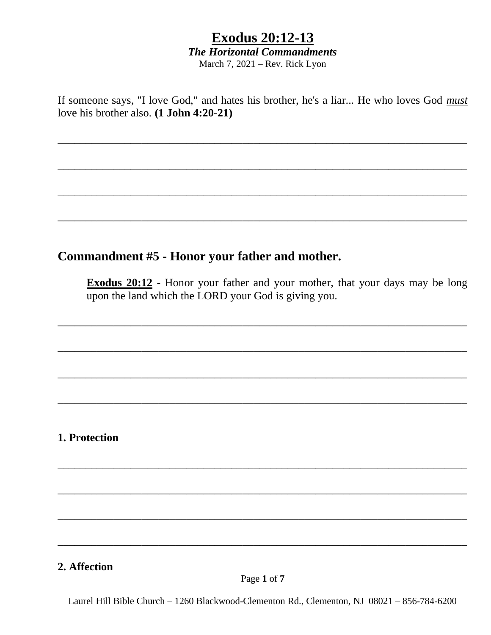## **Exodus 20:12-13 The Horizontal Commandments**

March 7, 2021 – Rev. Rick Lyon

If someone says, "I love God," and hates his brother, he's a liar... He who loves God must love his brother also. (1 John 4:20-21)

### Commandment #5 - Honor your father and mother.

**Exodus 20:12** - Honor your father and your mother, that your days may be long upon the land which the LORD your God is giving you.

### 1. Protection

### 2. Affection

Page 1 of 7

Laurel Hill Bible Church - 1260 Blackwood-Clementon Rd., Clementon, NJ 08021 - 856-784-6200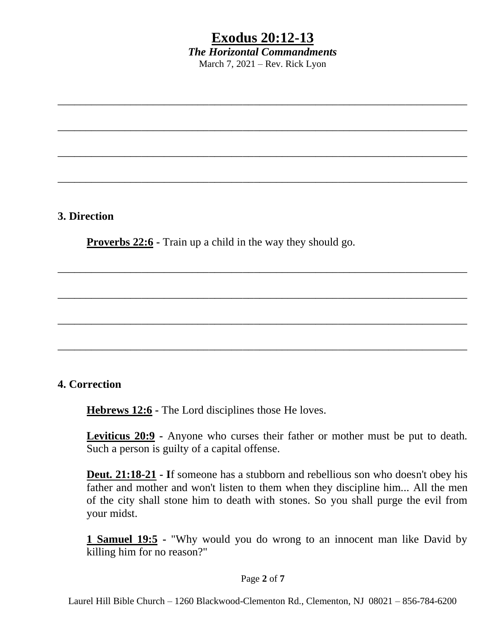### **Exodus 20:12-13** *The Horizontal Commandments* March 7, 2021 – Rev. Rick Lyon

\_\_\_\_\_\_\_\_\_\_\_\_\_\_\_\_\_\_\_\_\_\_\_\_\_\_\_\_\_\_\_\_\_\_\_\_\_\_\_\_\_\_\_\_\_\_\_\_\_\_\_\_\_\_\_\_\_\_\_\_\_\_\_\_\_\_\_\_\_\_\_\_\_

\_\_\_\_\_\_\_\_\_\_\_\_\_\_\_\_\_\_\_\_\_\_\_\_\_\_\_\_\_\_\_\_\_\_\_\_\_\_\_\_\_\_\_\_\_\_\_\_\_\_\_\_\_\_\_\_\_\_\_\_\_\_\_\_\_\_\_\_\_\_\_\_\_

\_\_\_\_\_\_\_\_\_\_\_\_\_\_\_\_\_\_\_\_\_\_\_\_\_\_\_\_\_\_\_\_\_\_\_\_\_\_\_\_\_\_\_\_\_\_\_\_\_\_\_\_\_\_\_\_\_\_\_\_\_\_\_\_\_\_\_\_\_\_\_\_\_

\_\_\_\_\_\_\_\_\_\_\_\_\_\_\_\_\_\_\_\_\_\_\_\_\_\_\_\_\_\_\_\_\_\_\_\_\_\_\_\_\_\_\_\_\_\_\_\_\_\_\_\_\_\_\_\_\_\_\_\_\_\_\_\_\_\_\_\_\_\_\_\_\_

\_\_\_\_\_\_\_\_\_\_\_\_\_\_\_\_\_\_\_\_\_\_\_\_\_\_\_\_\_\_\_\_\_\_\_\_\_\_\_\_\_\_\_\_\_\_\_\_\_\_\_\_\_\_\_\_\_\_\_\_\_\_\_\_\_\_\_\_\_\_\_\_\_

\_\_\_\_\_\_\_\_\_\_\_\_\_\_\_\_\_\_\_\_\_\_\_\_\_\_\_\_\_\_\_\_\_\_\_\_\_\_\_\_\_\_\_\_\_\_\_\_\_\_\_\_\_\_\_\_\_\_\_\_\_\_\_\_\_\_\_\_\_\_\_\_\_

\_\_\_\_\_\_\_\_\_\_\_\_\_\_\_\_\_\_\_\_\_\_\_\_\_\_\_\_\_\_\_\_\_\_\_\_\_\_\_\_\_\_\_\_\_\_\_\_\_\_\_\_\_\_\_\_\_\_\_\_\_\_\_\_\_\_\_\_\_\_\_\_\_

\_\_\_\_\_\_\_\_\_\_\_\_\_\_\_\_\_\_\_\_\_\_\_\_\_\_\_\_\_\_\_\_\_\_\_\_\_\_\_\_\_\_\_\_\_\_\_\_\_\_\_\_\_\_\_\_\_\_\_\_\_\_\_\_\_\_\_\_\_\_\_\_\_

#### **3. Direction**

**Proverbs 22:6 -** Train up a child in the way they should go.

#### **4. Correction**

**Hebrews 12:6 -** The Lord disciplines those He loves.

**Leviticus 20:9 -** Anyone who curses their father or mother must be put to death. Such a person is guilty of a capital offense.

**Deut. 21:18-21 - I**f someone has a stubborn and rebellious son who doesn't obey his father and mother and won't listen to them when they discipline him... All the men of the city shall stone him to death with stones. So you shall purge the evil from your midst.

**1 Samuel 19:5 -** "Why would you do wrong to an innocent man like David by killing him for no reason?"

#### Page **2** of **7**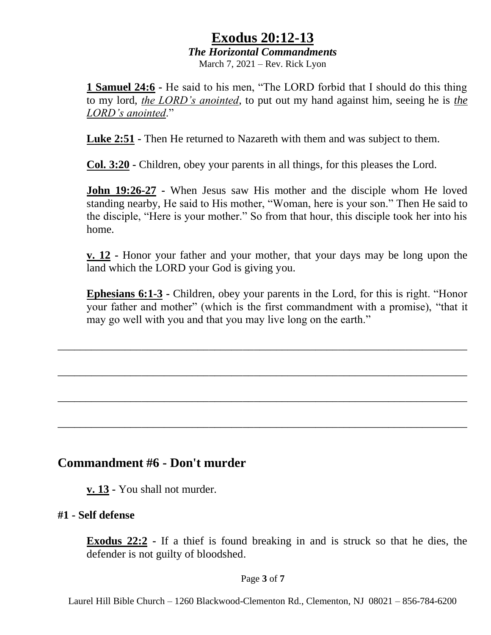# **Exodus 20:12-13** *The Horizontal Commandments*

March 7, 2021 – Rev. Rick Lyon

**1 Samuel 24:6 -** He said to his men, "The LORD forbid that I should do this thing to my lord, *the LORD's anointed*, to put out my hand against him, seeing he is *the LORD's anointed*."

**Luke 2:51 -** Then He returned to Nazareth with them and was subject to them.

**Col. 3:20 -** Children, obey your parents in all things, for this pleases the Lord.

**John 19:26-27 -** When Jesus saw His mother and the disciple whom He loved standing nearby, He said to His mother, "Woman, here is your son." Then He said to the disciple, "Here is your mother." So from that hour, this disciple took her into his home.

**v. 12 -** Honor your father and your mother, that your days may be long upon the land which the LORD your God is giving you.

**Ephesians 6:1-3 -** Children, obey your parents in the Lord, for this is right. "Honor your father and mother" (which is the first commandment with a promise), "that it may go well with you and that you may live long on the earth."

\_\_\_\_\_\_\_\_\_\_\_\_\_\_\_\_\_\_\_\_\_\_\_\_\_\_\_\_\_\_\_\_\_\_\_\_\_\_\_\_\_\_\_\_\_\_\_\_\_\_\_\_\_\_\_\_\_\_\_\_\_\_\_\_\_\_\_\_\_\_\_\_\_

\_\_\_\_\_\_\_\_\_\_\_\_\_\_\_\_\_\_\_\_\_\_\_\_\_\_\_\_\_\_\_\_\_\_\_\_\_\_\_\_\_\_\_\_\_\_\_\_\_\_\_\_\_\_\_\_\_\_\_\_\_\_\_\_\_\_\_\_\_\_\_\_\_

\_\_\_\_\_\_\_\_\_\_\_\_\_\_\_\_\_\_\_\_\_\_\_\_\_\_\_\_\_\_\_\_\_\_\_\_\_\_\_\_\_\_\_\_\_\_\_\_\_\_\_\_\_\_\_\_\_\_\_\_\_\_\_\_\_\_\_\_\_\_\_\_\_

\_\_\_\_\_\_\_\_\_\_\_\_\_\_\_\_\_\_\_\_\_\_\_\_\_\_\_\_\_\_\_\_\_\_\_\_\_\_\_\_\_\_\_\_\_\_\_\_\_\_\_\_\_\_\_\_\_\_\_\_\_\_\_\_\_\_\_\_\_\_\_\_\_

### **Commandment #6 - Don't murder**

**v. 13 -** You shall not murder.

### **#1 - Self defense**

**Exodus 22:2 -** If a thief is found breaking in and is struck so that he dies, the defender is not guilty of bloodshed.

Page **3** of **7**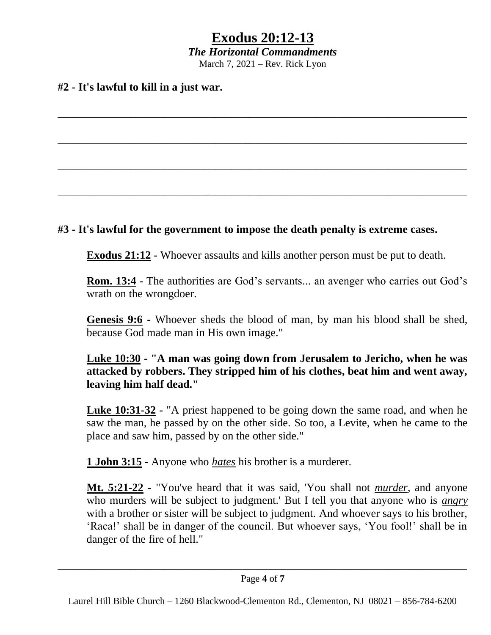## **Exodus 20:12-13**

## *The Horizontal Commandments*

March 7, 2021 – Rev. Rick Lyon

\_\_\_\_\_\_\_\_\_\_\_\_\_\_\_\_\_\_\_\_\_\_\_\_\_\_\_\_\_\_\_\_\_\_\_\_\_\_\_\_\_\_\_\_\_\_\_\_\_\_\_\_\_\_\_\_\_\_\_\_\_\_\_\_\_\_\_\_\_\_\_\_\_

\_\_\_\_\_\_\_\_\_\_\_\_\_\_\_\_\_\_\_\_\_\_\_\_\_\_\_\_\_\_\_\_\_\_\_\_\_\_\_\_\_\_\_\_\_\_\_\_\_\_\_\_\_\_\_\_\_\_\_\_\_\_\_\_\_\_\_\_\_\_\_\_\_

\_\_\_\_\_\_\_\_\_\_\_\_\_\_\_\_\_\_\_\_\_\_\_\_\_\_\_\_\_\_\_\_\_\_\_\_\_\_\_\_\_\_\_\_\_\_\_\_\_\_\_\_\_\_\_\_\_\_\_\_\_\_\_\_\_\_\_\_\_\_\_\_\_

\_\_\_\_\_\_\_\_\_\_\_\_\_\_\_\_\_\_\_\_\_\_\_\_\_\_\_\_\_\_\_\_\_\_\_\_\_\_\_\_\_\_\_\_\_\_\_\_\_\_\_\_\_\_\_\_\_\_\_\_\_\_\_\_\_\_\_\_\_\_\_\_\_

### **#2 - It's lawful to kill in a just war.**

### **#3 - It's lawful for the government to impose the death penalty is extreme cases.**

**Exodus 21:12 -** Whoever assaults and kills another person must be put to death.

**Rom. 13:4 -** The authorities are God's servants... an avenger who carries out God's wrath on the wrongdoer.

**Genesis 9:6 -** Whoever sheds the blood of man, by man his blood shall be shed, because God made man in His own image."

### **Luke 10:30 - "A man was going down from Jerusalem to Jericho, when he was attacked by robbers. They stripped him of his clothes, beat him and went away, leaving him half dead."**

**Luke 10:31-32 -** "A priest happened to be going down the same road, and when he saw the man, he passed by on the other side. So too, a Levite, when he came to the place and saw him, passed by on the other side."

**1 John 3:15 -** Anyone who *hates* his brother is a murderer.

**Mt. 5:21-22 -** "You've heard that it was said, 'You shall not *murder*, and anyone who murders will be subject to judgment.' But I tell you that anyone who is *angry* with a brother or sister will be subject to judgment. And whoever says to his brother, 'Raca!' shall be in danger of the council. But whoever says, 'You fool!' shall be in danger of the fire of hell."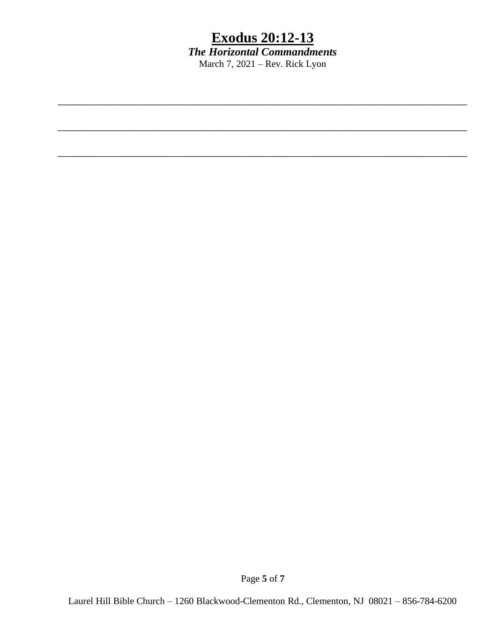### **Exodus 20:12-13** *The Horizontal Commandments* March 7, 2021 – Rev. Rick Lyon

\_\_\_\_\_\_\_\_\_\_\_\_\_\_\_\_\_\_\_\_\_\_\_\_\_\_\_\_\_\_\_\_\_\_\_\_\_\_\_\_\_\_\_\_\_\_\_\_\_\_\_\_\_\_\_\_\_\_\_\_\_\_\_\_\_\_\_\_\_\_\_\_\_

\_\_\_\_\_\_\_\_\_\_\_\_\_\_\_\_\_\_\_\_\_\_\_\_\_\_\_\_\_\_\_\_\_\_\_\_\_\_\_\_\_\_\_\_\_\_\_\_\_\_\_\_\_\_\_\_\_\_\_\_\_\_\_\_\_\_\_\_\_\_\_\_\_

\_\_\_\_\_\_\_\_\_\_\_\_\_\_\_\_\_\_\_\_\_\_\_\_\_\_\_\_\_\_\_\_\_\_\_\_\_\_\_\_\_\_\_\_\_\_\_\_\_\_\_\_\_\_\_\_\_\_\_\_\_\_\_\_\_\_\_\_\_\_\_\_\_

Page **5** of **7**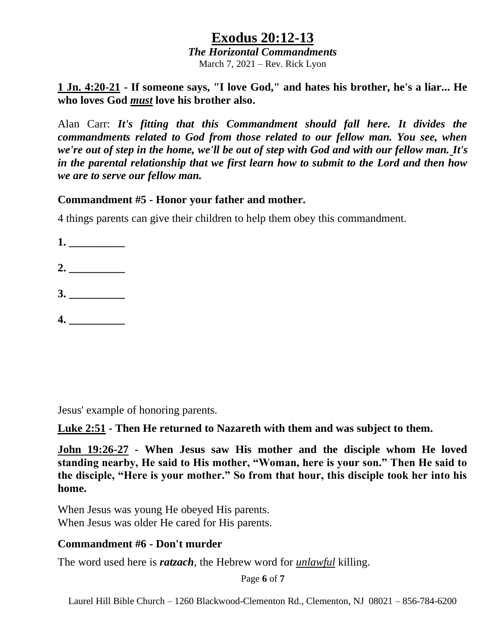## **Exodus 20:12-13**

*The Horizontal Commandments*

March 7, 2021 – Rev. Rick Lyon

**1 Jn. 4:20-21 - If someone says, "I love God," and hates his brother, he's a liar... He who loves God** *must* **love his brother also.** 

Alan Carr: *It's fitting that this Commandment should fall here. It divides the commandments related to God from those related to our fellow man. You see, when we're out of step in the home, we'll be out of step with God and with our fellow man. It's in the parental relationship that we first learn how to submit to the Lord and then how we are to serve our fellow man.*

### **Commandment #5 - Honor your father and mother.**

4 things parents can give their children to help them obey this commandment.

- **1. \_\_\_\_\_\_\_\_\_\_ 2. \_\_\_\_\_\_\_\_\_\_**
- **3. \_\_\_\_\_\_\_\_\_\_**
- **4. \_\_\_\_\_\_\_\_\_\_**

Jesus' example of honoring parents.

**Luke 2:51 - Then He returned to Nazareth with them and was subject to them.**

**John 19:26-27 - When Jesus saw His mother and the disciple whom He loved standing nearby, He said to His mother, "Woman, here is your son." Then He said to the disciple, "Here is your mother." So from that hour, this disciple took her into his home.**

When Jesus was young He obeyed His parents. When Jesus was older He cared for His parents.

### **Commandment #6 - Don't murder**

The word used here is *ratzach*, the Hebrew word for *unlawful* killing.

Page **6** of **7**